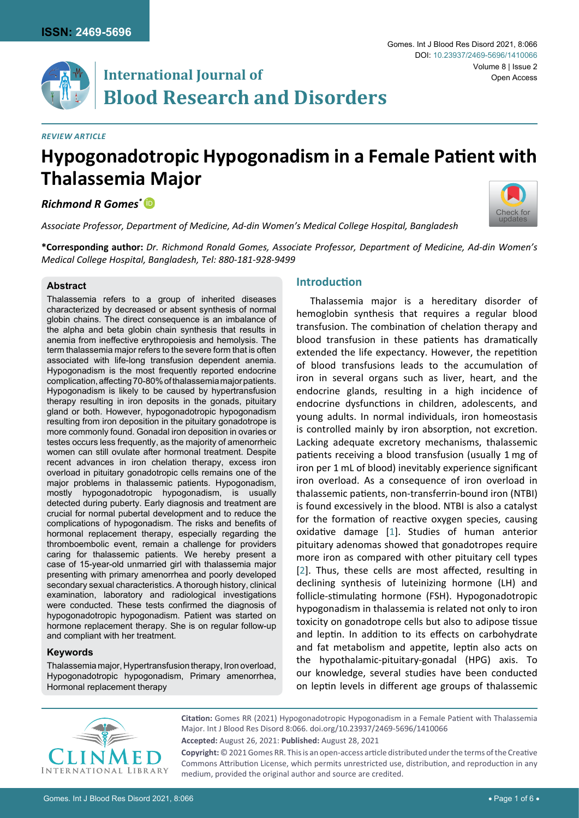# **International Journal of Blood Research and Disorders**

#### *Review Article*

# **Hypogonadotropic Hypogonadism in a Female Patient with Thalassemia Major**

*Richmond R Gomes\** [iD](https://orcid.org/0000-0002-2511-7972)

*Associate Professor, Department of Medicine, Ad-din Women's Medical College Hospital, Bangladesh*

**\*Corresponding author:** *Dr. Richmond Ronald Gomes, Associate Professor, Department of Medicine, Ad-din Women's Medical College Hospital, Bangladesh, Tel: 880-181-928-9499*

#### **Abstract**

Thalassemia refers to a group of inherited diseases characterized by decreased or absent synthesis of normal globin chains. The direct consequence is an imbalance of the alpha and beta globin chain synthesis that results in anemia from ineffective erythropoiesis and hemolysis. The term thalassemia major refers to the severe form that is often associated with life-long transfusion dependent anemia. Hypogonadism is the most frequently reported endocrine complication, affecting 70-80% of thalassemia major patients. Hypogonadism is likely to be caused by hypertransfusion therapy resulting in iron deposits in the gonads, pituitary gland or both. However, hypogonadotropic hypogonadism resulting from iron deposition in the pituitary gonadotrope is more commonly found. Gonadal iron deposition in ovaries or testes occurs less frequently, as the majority of amenorrheic women can still ovulate after hormonal treatment. Despite recent advances in iron chelation therapy, excess iron overload in pituitary gonadotropic cells remains one of the major problems in thalassemic patients. Hypogonadism, mostly hypogonadotropic hypogonadism, is usually detected during puberty. Early diagnosis and treatment are crucial for normal pubertal development and to reduce the complications of hypogonadism. The risks and benefits of hormonal replacement therapy, especially regarding the thromboembolic event, remain a challenge for providers caring for thalassemic patients. We hereby present a case of 15-year-old unmarried girl with thalassemia major presenting with primary amenorrhea and poorly developed secondary sexual characteristics. A thorough history, clinical examination, laboratory and radiological investigations were conducted. These tests confirmed the diagnosis of hypogonadotropic hypogonadism. Patient was started on hormone replacement therapy. She is on regular follow-up and compliant with her treatment.

### **Keywords**

Thalassemia major, Hypertransfusion therapy, Iron overload, Hypogonadotropic hypogonadism, Primary amenorrhea, Hormonal replacement therapy

## **Introduction**

Thalassemia major is a hereditary disorder of hemoglobin synthesis that requires a regular blood transfusion. The combination of chelation therapy and blood transfusion in these patients has dramatically extended the life expectancy. However, the repetition of blood transfusions leads to the accumulation of iron in several organs such as liver, heart, and the endocrine glands, resulting in a high incidence of endocrine dysfunctions in children, adolescents, and young adults. In normal individuals, iron homeostasis is controlled mainly by iron absorption, not excretion. Lacking adequate excretory mechanisms, thalassemic patients receiving a blood transfusion (usually 1 mg of iron per 1 mL of blood) inevitably experience significant iron overload. As a consequence of iron overload in thalassemic patients, non-transferrin-bound iron (NTBI) is found excessively in the blood. NTBI is also a catalyst for the formation of reactive oxygen species, causing oxidative damage [[1](#page-4-0)]. Studies of human anterior pituitary adenomas showed that gonadotropes require more iron as compared with other pituitary cell types [[2](#page-4-1)]. Thus, these cells are most affected, resulting in declining synthesis of luteinizing hormone (LH) and follicle-stimulating hormone (FSH). Hypogonadotropic hypogonadism in thalassemia is related not only to iron toxicity on gonadotrope cells but also to adipose tissue and leptin. In addition to its effects on carbohydrate and fat metabolism and appetite, leptin also acts on the hypothalamic-pituitary-gonadal (HPG) axis. To our knowledge, several studies have been conducted on leptin levels in different age groups of thalassemic



**Citation:** Gomes RR (2021) Hypogonadotropic Hypogonadism in a Female Patient with Thalassemia Major. Int J Blood Res Disord 8:066. [doi.org/10.23937/2469-5696/1410066](https://doi.org/10.23937/2469-5696/1410066)

**Accepted:** August 26, 2021: **Published:** August 28, 2021

**Copyright:** © 2021 Gomes RR. This is an open-access article distributed under the terms of the Creative Commons Attribution License, which permits unrestricted use, distribution, and reproduction in any medium, provided the original author and source are credited.

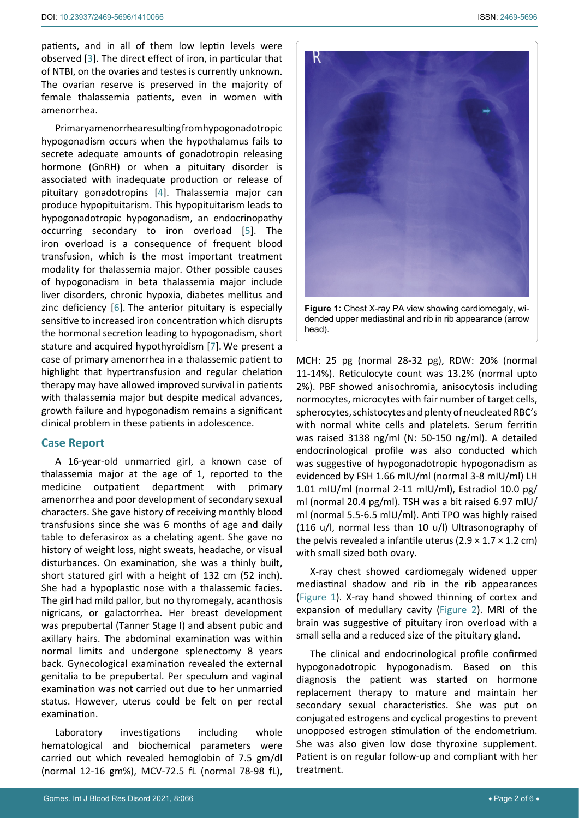patients, and in all of them low leptin levels were observed [[3](#page-4-2)]. The direct effect of iron, in particular that of NTBI, on the ovaries and testes is currently unknown. The ovarian reserve is preserved in the majority of female thalassemia patients, even in women with amenorrhea.

Primary amenorrhea resulting from hypogonadotropic hypogonadism occurs when the hypothalamus fails to secrete adequate amounts of gonadotropin releasing hormone (GnRH) or when a pituitary disorder is associated with inadequate production or release of pituitary gonadotropins [[4](#page-4-3)]. Thalassemia major can produce hypopituitarism. This hypopituitarism leads to hypogonadotropic hypogonadism, an endocrinopathy occurring secondary to iron overload [[5](#page-4-4)]. The iron overload is a consequence of frequent blood transfusion, which is the most important treatment modality for thalassemia major. Other possible causes of hypogonadism in beta thalassemia major include liver disorders, chronic hypoxia, diabetes mellitus and zinc deficiency [[6\]](#page-4-5). The anterior pituitary is especially sensitive to increased iron concentration which disrupts the hormonal secretion leading to hypogonadism, short stature and acquired hypothyroidism [[7\]](#page-4-6). We present a case of primary amenorrhea in a thalassemic patient to highlight that hypertransfusion and regular chelation therapy may have allowed improved survival in patients with thalassemia major but despite medical advances, growth failure and hypogonadism remains a significant clinical problem in these patients in adolescence.

### **Case Report**

A 16-year-old unmarried girl, a known case of thalassemia major at the age of 1, reported to the medicine outpatient department with primary amenorrhea and poor development of secondary sexual characters. She gave history of receiving monthly blood transfusions since she was 6 months of age and daily table to deferasirox as a chelating agent. She gave no history of weight loss, night sweats, headache, or visual disturbances. On examination, she was a thinly built, short statured girl with a height of 132 cm (52 inch). She had a hypoplastic nose with a thalassemic facies. The girl had mild pallor, but no thyromegaly, acanthosis nigricans, or galactorrhea. Her breast development was prepubertal (Tanner Stage I) and absent pubic and axillary hairs. The abdominal examination was within normal limits and undergone splenectomy 8 years back. Gynecological examination revealed the external genitalia to be prepubertal. Per speculum and vaginal examination was not carried out due to her unmarried status. However, uterus could be felt on per rectal examination.

Laboratory investigations including whole hematological and biochemical parameters were carried out which revealed hemoglobin of 7.5 gm/dl (normal 12-16 gm%), MCV-72.5 fL (normal 78-98 fL),

<span id="page-1-0"></span>

dended upper mediastinal and rib in rib appearance (arrow head).

MCH: 25 pg (normal 28-32 pg), RDW: 20% (normal 11-14%). Reticulocyte count was 13.2% (normal upto 2%). PBF showed anisochromia, anisocytosis including normocytes, microcytes with fair number of target cells, spherocytes, schistocytes and plenty of neucleated RBC's with normal white cells and platelets. Serum ferritin was raised 3138 ng/ml (N: 50-150 ng/ml). A detailed endocrinological profile was also conducted which was suggestive of hypogonadotropic hypogonadism as evidenced by FSH 1.66 mIU/ml (normal 3-8 mIU/ml) LH 1.01 mIU/ml (normal 2-11 mIU/ml), Estradiol 10.0 pg/ ml (normal 20.4 pg/ml). TSH was a bit raised 6.97 mIU/ ml (normal 5.5-6.5 mlU/ml). Anti TPO was highly raised (116 u/l, normal less than 10 u/l) Ultrasonography of the pelvis revealed a infantile uterus  $(2.9 \times 1.7 \times 1.2 \text{ cm})$ with small sized both ovary.

X-ray chest showed cardiomegaly widened upper mediastinal shadow and rib in the rib appearances [\(Figure 1](#page-1-0)). X-ray hand showed thinning of cortex and expansion of medullary cavity ([Figure 2](#page-2-0)). MRI of the brain was suggestive of pituitary iron overload with a small sella and a reduced size of the pituitary gland.

The clinical and endocrinological profile confirmed hypogonadotropic hypogonadism. Based on this diagnosis the patient was started on hormone replacement therapy to mature and maintain her secondary sexual characteristics. She was put on conjugated estrogens and cyclical progestins to prevent unopposed estrogen stimulation of the endometrium. She was also given low dose thyroxine supplement. Patient is on regular follow-up and compliant with her treatment.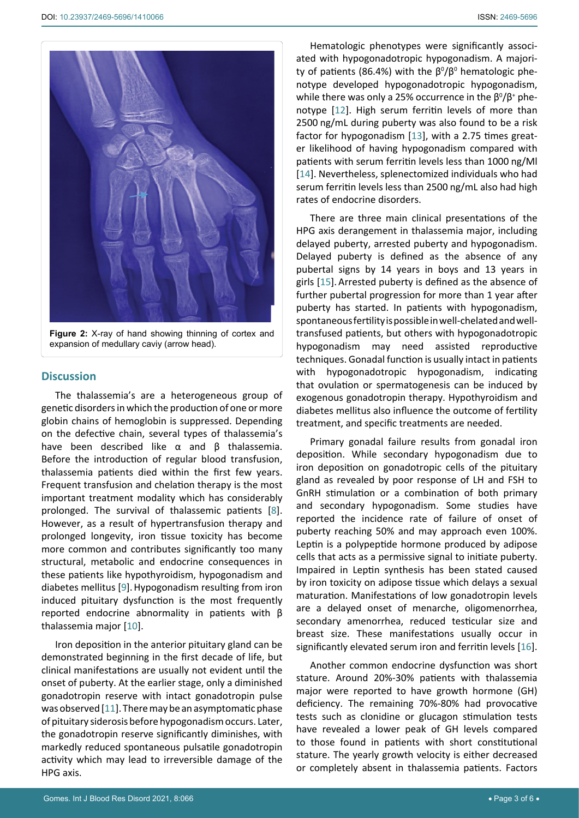<span id="page-2-0"></span>

**Figure 2:** X-ray of hand showing thinning of cortex and expansion of medullary caviy (arrow head).

#### **Discussion**

The thalassemia's are a heterogeneous group of genetic disorders in which the production of one or more globin chains of hemoglobin is suppressed. Depending on the defective chain, several types of thalassemia's have been described like α and β thalassemia. Before the introduction of regular blood transfusion, thalassemia patients died within the first few years. Frequent transfusion and chelation therapy is the most important treatment modality which has considerably prolonged. The survival of thalassemic patients [[8](#page-4-12)]. However, as a result of hypertransfusion therapy and prolonged longevity, iron tissue toxicity has become more common and contributes significantly too many structural, metabolic and endocrine consequences in these patients like hypothyroidism, hypogonadism and diabetes mellitus [[9](#page-4-13)].Hypogonadism resulting from iron induced pituitary dysfunction is the most frequently reported endocrine abnormality in patients with β thalassemia major [[10\]](#page-4-14).

Iron deposition in the anterior pituitary gland can be demonstrated beginning in the first decade of life, but clinical manifestations are usually not evident until the onset of puberty. At the earlier stage, only a diminished gonadotropin reserve with intact gonadotropin pulse was observed [[11](#page-4-15)]. There may be an asymptomatic phase of pituitary siderosis before hypogonadism occurs. Later, the gonadotropin reserve significantly diminishes, with markedly reduced spontaneous pulsatile gonadotropin activity which may lead to irreversible damage of the HPG axis.

Hematologic phenotypes were significantly associated with hypogonadotropic hypogonadism. A majority of patients (86.4%) with the  $\beta^{0}/\beta^{0}$  hematologic phenotype developed hypogonadotropic hypogonadism, while there was only a 25% occurrence in the  $\beta^0/\beta^+$  phenotype [[12](#page-4-7)]. High serum ferritin levels of more than 2500 ng/mL during puberty was also found to be a risk factor for hypogonadism [[13](#page-4-8)], with a 2.75 times greater likelihood of having hypogonadism compared with patients with serum ferritin levels less than 1000 ng/Ml [[14](#page-4-9)]. Nevertheless, splenectomized individuals who had serum ferritin levels less than 2500 ng/mL also had high rates of endocrine disorders.

There are three main clinical presentations of the HPG axis derangement in thalassemia major, including delayed puberty, arrested puberty and hypogonadism. Delayed puberty is defined as the absence of any pubertal signs by 14 years in boys and 13 years in girls [[15](#page-4-10)]. Arrested puberty is defined as the absence of further pubertal progression for more than 1 year after puberty has started. In patients with hypogonadism, spontaneous fertility is possible in well-chelated and welltransfused patients, but others with hypogonadotropic hypogonadism may need assisted reproductive techniques. Gonadal function is usually intact in patients with hypogonadotropic hypogonadism, indicating that ovulation or spermatogenesis can be induced by exogenous gonadotropin therapy. Hypothyroidism and diabetes mellitus also influence the outcome of fertility treatment, and specific treatments are needed.

Primary gonadal failure results from gonadal iron deposition. While secondary hypogonadism due to iron deposition on gonadotropic cells of the pituitary gland as revealed by poor response of LH and FSH to GnRH stimulation or a combination of both primary and secondary hypogonadism. Some studies have reported the incidence rate of failure of onset of puberty reaching 50% and may approach even 100%. Leptin is a polypeptide hormone produced by adipose cells that acts as a permissive signal to initiate puberty. Impaired in Leptin synthesis has been stated caused by iron toxicity on adipose tissue which delays a sexual maturation. Manifestations of low gonadotropin levels are a delayed onset of menarche, oligomenorrhea, secondary amenorrhea, reduced testicular size and breast size. These manifestations usually occur in significantly elevated serum iron and ferritin levels [[16\]](#page-4-11).

Another common endocrine dysfunction was short stature. Around 20%-30% patients with thalassemia major were reported to have growth hormone (GH) deficiency. The remaining 70%-80% had provocative tests such as clonidine or glucagon stimulation tests have revealed a lower peak of GH levels compared to those found in patients with short constitutional stature. The yearly growth velocity is either decreased or completely absent in thalassemia patients. Factors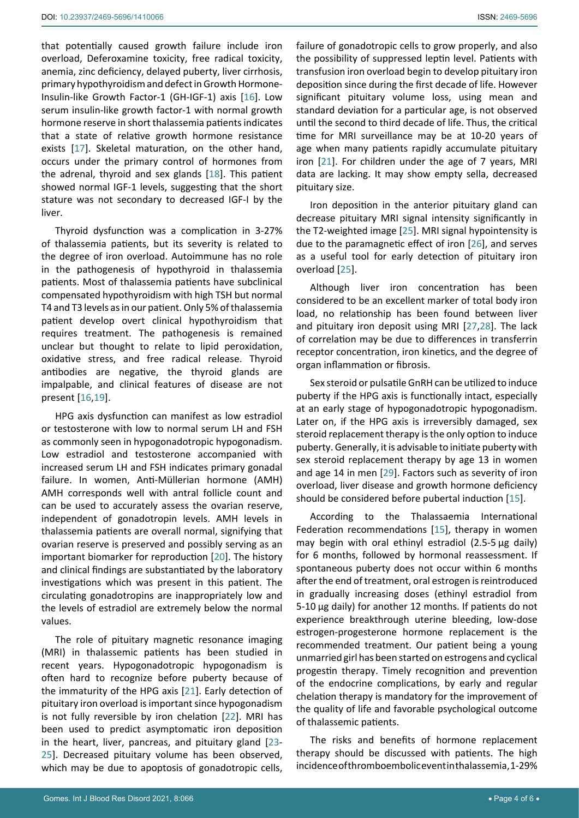that potentially caused growth failure include iron overload, Deferoxamine toxicity, free radical toxicity, anemia, zinc deficiency, delayed puberty, liver cirrhosis, primary hypothyroidism and defect in Growth Hormone-Insulin-like Growth Factor-1 (GH-IGF-1) axis [[16](#page-4-11)]. Low serum insulin-like growth factor-1 with normal growth hormone reserve in short thalassemia patients indicates that a state of relative growth hormone resistance exists [[17](#page-4-17)]. Skeletal maturation, on the other hand, occurs under the primary control of hormones from the adrenal, thyroid and sex glands [[18](#page-4-18)]. This patient showed normal IGF-1 levels, suggesting that the short stature was not secondary to decreased IGF-I by the liver.

Thyroid dysfunction was a complication in 3-27% of thalassemia patients, but its severity is related to the degree of iron overload. Autoimmune has no role in the pathogenesis of hypothyroid in thalassemia patients. Most of thalassemia patients have subclinical compensated hypothyroidism with high TSH but normal T4 and T3 levels as in our patient. Only 5% of thalassemia patient develop overt clinical hypothyroidism that requires treatment. The pathogenesis is remained unclear but thought to relate to lipid peroxidation, oxidative stress, and free radical release. Thyroid antibodies are negative, the thyroid glands are impalpable, and clinical features of disease are not present [[16,](#page-4-11)[19\]](#page-4-19).

HPG axis dysfunction can manifest as low estradiol or testosterone with low to normal serum LH and FSH as commonly seen in hypogonadotropic hypogonadism. Low estradiol and testosterone accompanied with increased serum LH and FSH indicates primary gonadal failure. In women, Anti-Müllerian hormone (AMH) AMH corresponds well with antral follicle count and can be used to accurately assess the ovarian reserve, independent of gonadotropin levels. AMH levels in thalassemia patients are overall normal, signifying that ovarian reserve is preserved and possibly serving as an important biomarker for reproduction [[20](#page-4-20)]. The history and clinical findings are substantiated by the laboratory investigations which was present in this patient. The circulating gonadotropins are inappropriately low and the levels of estradiol are extremely below the normal values.

The role of pituitary magnetic resonance imaging (MRI) in thalassemic patients has been studied in recent years. Hypogonadotropic hypogonadism is often hard to recognize before puberty because of the immaturity of the HPG axis [[21](#page-4-16)]. Early detection of pituitary iron overload is important since hypogonadism is not fully reversible by iron chelation [[22](#page-4-21)]. MRI has been used to predict asymptomatic iron deposition in the heart, liver, pancreas, and pituitary gland [[23](#page-5-5)- [25](#page-5-0)]. Decreased pituitary volume has been observed, which may be due to apoptosis of gonadotropic cells,

failure of gonadotropic cells to grow properly, and also the possibility of suppressed leptin level. Patients with transfusion iron overload begin to develop pituitary iron deposition since during the first decade of life. However significant pituitary volume loss, using mean and standard deviation for a particular age, is not observed until the second to third decade of life. Thus, the critical time for MRI surveillance may be at 10-20 years of age when many patients rapidly accumulate pituitary iron [[21](#page-4-16)]. For children under the age of 7 years, MRI data are lacking. It may show empty sella, decreased pituitary size.

Iron deposition in the anterior pituitary gland can decrease pituitary MRI signal intensity significantly in the T2-weighted image [[25](#page-5-0)]. MRI signal hypointensity is due to the paramagnetic effect of iron [[26](#page-5-1)], and serves as a useful tool for early detection of pituitary iron overload [[25](#page-5-0)].

Although liver iron concentration has been considered to be an excellent marker of total body iron load, no relationship has been found between liver and pituitary iron deposit using MRI [[27,](#page-5-2)[28](#page-5-3)]. The lack of correlation may be due to differences in transferrin receptor concentration, iron kinetics, and the degree of organ inflammation or fibrosis.

Sex steroid or pulsatile GnRH can be utilized to induce puberty if the HPG axis is functionally intact, especially at an early stage of hypogonadotropic hypogonadism. Later on, if the HPG axis is irreversibly damaged, sex steroid replacement therapy is the only option to induce puberty. Generally, it is advisable to initiate puberty with sex steroid replacement therapy by age 13 in women and age 14 in men [[29](#page-5-4)]. Factors such as severity of iron overload, liver disease and growth hormone deficiency should be considered before pubertal induction [[15\]](#page-4-10).

According to the Thalassaemia International Federation recommendations [[15](#page-4-10)], therapy in women may begin with oral ethinyl estradiol (2.5-5 µg daily) for 6 months, followed by hormonal reassessment. If spontaneous puberty does not occur within 6 months after the end of treatment, oral estrogen is reintroduced in gradually increasing doses (ethinyl estradiol from 5-10 µg daily) for another 12 months. If patients do not experience breakthrough uterine bleeding, low-dose estrogen-progesterone hormone replacement is the recommended treatment. Our patient being a young unmarried girl has been started on estrogens and cyclical progestin therapy. Timely recognition and prevention of the endocrine complications, by early and regular chelation therapy is mandatory for the improvement of the quality of life and favorable psychological outcome of thalassemic patients.

The risks and benefits of hormone replacement therapy should be discussed with patients. The high incidence of thromboembolic event in thalassemia, 1-29%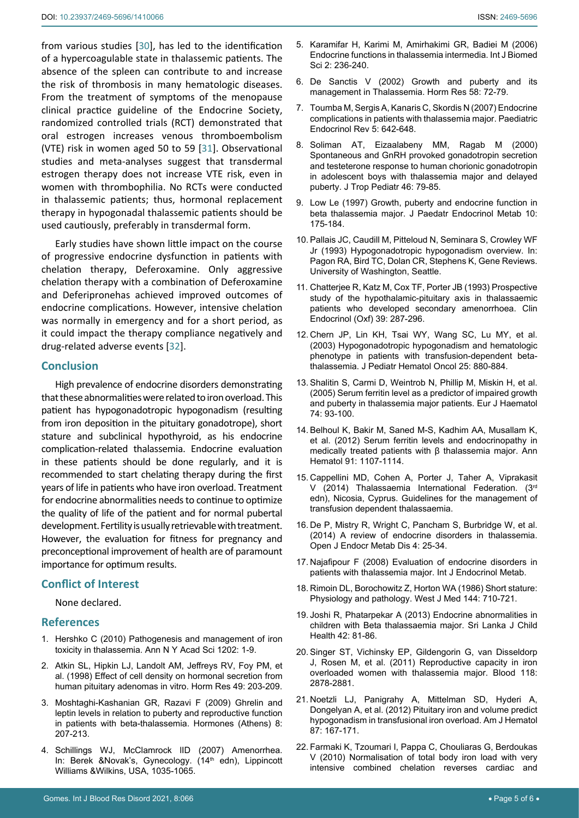from various studies [[30](#page-5-6)], has led to the identification of a hypercoagulable state in thalassemic patients. The absence of the spleen can contribute to and increase the risk of thrombosis in many hematologic diseases. From the treatment of symptoms of the menopause clinical practice guideline of the Endocrine Society, randomized controlled trials (RCT) demonstrated that oral estrogen increases venous thromboembolism (VTE) risk in women aged 50 to 59 [[31](#page-5-7)]. Observational studies and meta-analyses suggest that transdermal estrogen therapy does not increase VTE risk, even in women with thrombophilia. No RCTs were conducted in thalassemic patients; thus, hormonal replacement therapy in hypogonadal thalassemic patients should be used cautiously, preferably in transdermal form.

Early studies have shown little impact on the course of progressive endocrine dysfunction in patients with chelation therapy, Deferoxamine. Only aggressive chelation therapy with a combination of Deferoxamine and Deferipronehas achieved improved outcomes of endocrine complications. However, intensive chelation was normally in emergency and for a short period, as it could impact the therapy compliance negatively and drug-related adverse events [[32](#page-5-8)].

#### **Conclusion**

High prevalence of endocrine disorders demonstrating that these abnormalities were related to iron overload. This patient has hypogonadotropic hypogonadism (resulting from iron deposition in the pituitary gonadotrope), short stature and subclinical hypothyroid, as his endocrine complication-related thalassemia. Endocrine evaluation in these patients should be done regularly, and it is recommended to start chelating therapy during the first years of life in patients who have iron overload. Treatment for endocrine abnormalities needs to continue to optimize the quality of life of the patient and for normal pubertal development. Fertility is usually retrievable with treatment. However, the evaluation for fitness for pregnancy and preconceptional improvement of health are of paramount importance for optimum results.

### **Conflict of Interest**

None declared.

### **References**

- <span id="page-4-0"></span>1. [Hershko C \(2010\) Pathogenesis and management of iron](https://pubmed.ncbi.nlm.nih.gov/20712765/)  [toxicity in thalassemia. Ann N Y Acad Sci 1202: 1-9.](https://pubmed.ncbi.nlm.nih.gov/20712765/)
- <span id="page-4-1"></span>2. [Atkin SL, Hipkin LJ, Landolt AM, Jeffreys RV, Foy PM, et](https://pubmed.ncbi.nlm.nih.gov/9568803/)  [al. \(1998\) Effect of cell density on hormonal secretion from](https://pubmed.ncbi.nlm.nih.gov/9568803/)  [human pituitary adenomas in vitro. Horm Res 49: 203-209.](https://pubmed.ncbi.nlm.nih.gov/9568803/)
- <span id="page-4-2"></span>3. [Moshtaghi-Kashanian GR, Razavi F \(2009\) Ghrelin and](https://pubmed.ncbi.nlm.nih.gov/19671520/)  [leptin levels in relation to puberty and reproductive function](https://pubmed.ncbi.nlm.nih.gov/19671520/)  [in patients with beta-thalassemia. Hormones \(Athens\) 8:](https://pubmed.ncbi.nlm.nih.gov/19671520/)  [207-213.](https://pubmed.ncbi.nlm.nih.gov/19671520/)
- <span id="page-4-3"></span>4. Schillings WJ, McClamrock lID (2007) Amenorrhea. In: Berek &Novak's, Gynecology. (14<sup>th</sup> edn), Lippincott Williams &Wilkins, USA, 1035-1065.
- <span id="page-4-4"></span>5. [Karamifar H, Karimi M, Amirhakimi GR, Badiei M \(2006\)](https://pubmed.ncbi.nlm.nih.gov/23674986/)  [Endocrine functions in thalassemia intermedia. Int J Biomed](https://pubmed.ncbi.nlm.nih.gov/23674986/)  [Sci 2: 236-240.](https://pubmed.ncbi.nlm.nih.gov/23674986/)
- <span id="page-4-5"></span>6. [De Sanctis V \(2002\) Growth and puberty and its](https://pubmed.ncbi.nlm.nih.gov/12373018/)  [management in Thalassemia. Horm Res 58: 72-79.](https://pubmed.ncbi.nlm.nih.gov/12373018/)
- <span id="page-4-6"></span>7. [Toumba M, Sergis A, Kanaris C, Skordis N \(2007\) Endocrine](https://pubmed.ncbi.nlm.nih.gov/18084158/)  [complications in patients with thalassemia major. Paediatric](https://pubmed.ncbi.nlm.nih.gov/18084158/)  [Endocrinol Rev 5: 642-648.](https://pubmed.ncbi.nlm.nih.gov/18084158/)
- <span id="page-4-12"></span>8. [Soliman AT, Eizaalabeny MM, Ragab M \(2000\)](https://pubmed.ncbi.nlm.nih.gov/10822933/)  [Spontaneous and GnRH provoked gonadotropin secretion](https://pubmed.ncbi.nlm.nih.gov/10822933/)  [and testeterone response to human chorionic gonadotropin](https://pubmed.ncbi.nlm.nih.gov/10822933/)  [in adolescent boys with thalassemia major and delayed](https://pubmed.ncbi.nlm.nih.gov/10822933/)  [puberty. J Trop Pediatr 46: 79-85.](https://pubmed.ncbi.nlm.nih.gov/10822933/)
- <span id="page-4-13"></span>9. [Low Le \(1997\) Growth, puberty and endocrine function in](https://pubmed.ncbi.nlm.nih.gov/9364350/)  [beta thalassemia major. J Paedatr Endocrinol Metab 10:](https://pubmed.ncbi.nlm.nih.gov/9364350/)  [175-184.](https://pubmed.ncbi.nlm.nih.gov/9364350/)
- <span id="page-4-14"></span>10. Pallais JC, Caudill M, Pitteloud N, Seminara S, Crowley WF Jr (1993) Hypogonadotropic hypogonadism overview. In: Pagon RA, Bird TC, Dolan CR, Stephens K, Gene Reviews. University of Washington, Seattle.
- <span id="page-4-15"></span>11. [Chatterjee R, Katz M, Cox TF, Porter JB \(1993\) Prospective](https://pubmed.ncbi.nlm.nih.gov/8222291/)  [study of the hypothalamic-pituitary axis in thalassaemic](https://pubmed.ncbi.nlm.nih.gov/8222291/)  [patients who developed secondary amenorrhoea. Clin](https://pubmed.ncbi.nlm.nih.gov/8222291/)  [Endocrinol \(Oxf\) 39: 287-296.](https://pubmed.ncbi.nlm.nih.gov/8222291/)
- <span id="page-4-7"></span>12. [Chern JP, Lin KH, Tsai WY, Wang SC, Lu MY, et al.](https://pubmed.ncbi.nlm.nih.gov/14608198/)  [\(2003\) Hypogonadotropic hypogonadism and hematologic](https://pubmed.ncbi.nlm.nih.gov/14608198/)  [phenotype in patients with transfusion-dependent beta](https://pubmed.ncbi.nlm.nih.gov/14608198/)[thalassemia. J Pediatr Hematol Oncol 25: 880-884.](https://pubmed.ncbi.nlm.nih.gov/14608198/)
- <span id="page-4-8"></span>13. [Shalitin S, Carmi D, Weintrob N, Phillip M, Miskin H, et al.](https://pubmed.ncbi.nlm.nih.gov/15654898/)  [\(2005\) Serum ferritin level as a predictor of impaired growth](https://pubmed.ncbi.nlm.nih.gov/15654898/)  [and puberty in thalassemia major patients. Eur J Haematol](https://pubmed.ncbi.nlm.nih.gov/15654898/)  [74: 93-100.](https://pubmed.ncbi.nlm.nih.gov/15654898/)
- <span id="page-4-9"></span>14. [Belhoul K, Bakir M, Saned M-S, Kadhim AA, Musallam K,](https://pubmed.ncbi.nlm.nih.gov/22281991/)  [et al. \(2012\) Serum ferritin levels and endocrinopathy in](https://pubmed.ncbi.nlm.nih.gov/22281991/)  [medically treated patients with β thalassemia major. Ann](https://pubmed.ncbi.nlm.nih.gov/22281991/)  [Hematol 91: 1107-1114.](https://pubmed.ncbi.nlm.nih.gov/22281991/)
- <span id="page-4-10"></span>15. Cappellini MD, Cohen A, Porter J, Taher A, Viprakasit V (2014) Thalassaemia International Federation. (3rd edn), Nicosia, Cyprus. Guidelines for the management of transfusion dependent thalassaemia.
- <span id="page-4-11"></span>16. [De P, Mistry R, Wright C, Pancham S, Burbridge W, et al.](https://www.scirp.org/journal/paperinformation.aspx?paperid=42952)  [\(2014\) A review of endocrine disorders in thalassemia.](https://www.scirp.org/journal/paperinformation.aspx?paperid=42952)  [Open J Endocr Metab Dis 4: 25-34.](https://www.scirp.org/journal/paperinformation.aspx?paperid=42952)
- <span id="page-4-17"></span>17. [Najafipour F \(2008\) Evaluation of endocrine disorders in](https://sites.kowsarpub.com/ijem/articles/74920.html)  [patients with thalassemia major. Int J Endocrinol Metab.](https://sites.kowsarpub.com/ijem/articles/74920.html)
- <span id="page-4-18"></span>18. [Rimoin DL, Borochowitz Z, Horton WA \(1986\) Short stature:](https://www.ncbi.nlm.nih.gov/labs/pmc/articles/PMC1306754/)  [Physiology and pathology. West J Med 144: 710-721.](https://www.ncbi.nlm.nih.gov/labs/pmc/articles/PMC1306754/)
- <span id="page-4-19"></span>19. [Joshi R, Phatarpekar A \(2013\) Endocrine abnormalities in](https://sljch.sljol.info/articles/abstract/10.4038/sljch.v42i2.5628/)  [children with Beta thalassaemia major. Sri Lanka J Child](https://sljch.sljol.info/articles/abstract/10.4038/sljch.v42i2.5628/)  [Health 42: 81-86.](https://sljch.sljol.info/articles/abstract/10.4038/sljch.v42i2.5628/)
- <span id="page-4-20"></span>20. [Singer ST, Vichinsky EP, Gildengorin G, van Disseldorp](https://pubmed.ncbi.nlm.nih.gov/21757620/)  [J, Rosen M, et al. \(2011\) Reproductive capacity in iron](https://pubmed.ncbi.nlm.nih.gov/21757620/)  [overloaded women with thalassemia major. Blood 118:](https://pubmed.ncbi.nlm.nih.gov/21757620/)  [2878-2881.](https://pubmed.ncbi.nlm.nih.gov/21757620/)
- <span id="page-4-16"></span>21. [Noetzli LJ, Panigrahy A, Mittelman SD, Hyderi A,](https://pubmed.ncbi.nlm.nih.gov/22213195/)  [Dongelyan A, et al. \(2012\) Pituitary iron and volume predict](https://pubmed.ncbi.nlm.nih.gov/22213195/)  [hypogonadism in transfusional iron overload. Am J Hematol](https://pubmed.ncbi.nlm.nih.gov/22213195/)  [87: 167-171.](https://pubmed.ncbi.nlm.nih.gov/22213195/)
- <span id="page-4-21"></span>22. [Farmaki K, Tzoumari I, Pappa C, Chouliaras G, Berdoukas](https://pubmed.ncbi.nlm.nih.gov/19912219/)  [V \(2010\) Normalisation of total body iron load with very](https://pubmed.ncbi.nlm.nih.gov/19912219/)  [intensive combined chelation reverses cardiac and](https://pubmed.ncbi.nlm.nih.gov/19912219/)